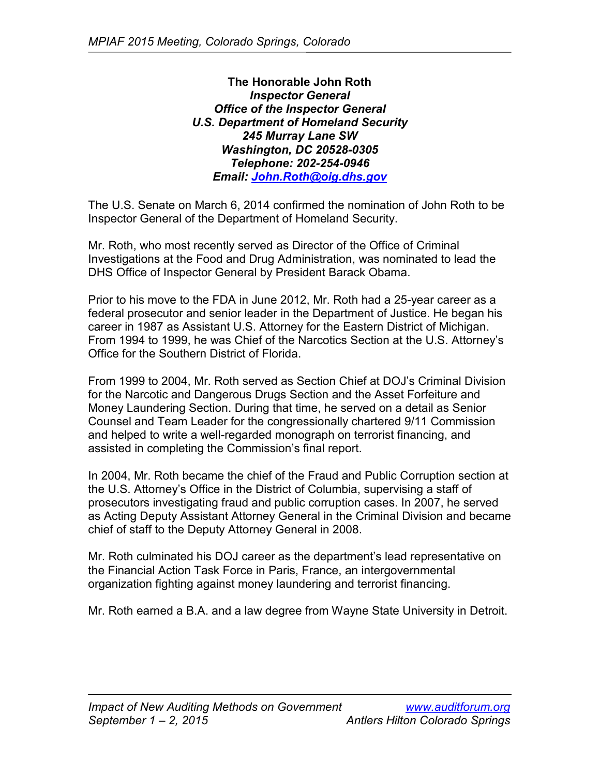**The Honorable John Roth** *Inspector General Office of the Inspector General U.S. Department of Homeland Security 245 Murray Lane SW Washington, DC 20528-0305 Telephone: 202-254-0946 Email: [John.Roth@oig.dhs.gov](mailto:John.Roth@oig.dhs.gov)*

The U.S. Senate on March 6, 2014 confirmed the nomination of John Roth to be Inspector General of the Department of Homeland Security.

Mr. Roth, who most recently served as Director of the Office of Criminal Investigations at the Food and Drug Administration, was nominated to lead the DHS Office of Inspector General by President Barack Obama.

Prior to his move to the FDA in June 2012, Mr. Roth had a 25-year career as a federal prosecutor and senior leader in the Department of Justice. He began his career in 1987 as Assistant U.S. Attorney for the Eastern District of Michigan. From 1994 to 1999, he was Chief of the Narcotics Section at the U.S. Attorney's Office for the Southern District of Florida.

From 1999 to 2004, Mr. Roth served as Section Chief at DOJ's Criminal Division for the Narcotic and Dangerous Drugs Section and the Asset Forfeiture and Money Laundering Section. During that time, he served on a detail as Senior Counsel and Team Leader for the congressionally chartered 9/11 Commission and helped to write a well-regarded monograph on terrorist financing, and assisted in completing the Commission's final report.

In 2004, Mr. Roth became the chief of the Fraud and Public Corruption section at the U.S. Attorney's Office in the District of Columbia, supervising a staff of prosecutors investigating fraud and public corruption cases. In 2007, he served as Acting Deputy Assistant Attorney General in the Criminal Division and became chief of staff to the Deputy Attorney General in 2008.

Mr. Roth culminated his DOJ career as the department's lead representative on the Financial Action Task Force in Paris, France, an intergovernmental organization fighting against money laundering and terrorist financing.

Mr. Roth earned a B.A. and a law degree from Wayne State University in Detroit.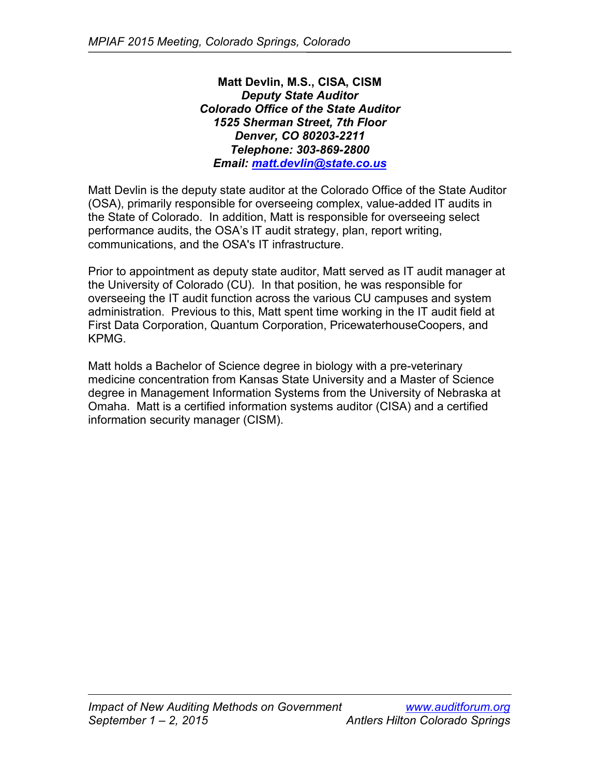**Matt Devlin, M.S., CISA, CISM** *Deputy State Auditor Colorado Office of the State Auditor 1525 Sherman Street, 7th Floor Denver, CO 80203-2211 Telephone: 303-869-2800 Email: [matt.devlin@state.co.us](mailto:matt.devlin@state.co.us)*

Matt Devlin is the deputy state auditor at the Colorado Office of the State Auditor (OSA), primarily responsible for overseeing complex, value-added IT audits in the State of Colorado. In addition, Matt is responsible for overseeing select performance audits, the OSA's IT audit strategy, plan, report writing, communications, and the OSA's IT infrastructure.

Prior to appointment as deputy state auditor, Matt served as IT audit manager at the University of Colorado (CU). In that position, he was responsible for overseeing the IT audit function across the various CU campuses and system administration. Previous to this, Matt spent time working in the IT audit field at First Data Corporation, Quantum Corporation, PricewaterhouseCoopers, and KPMG.

Matt holds a Bachelor of Science degree in biology with a pre-veterinary medicine concentration from Kansas State University and a Master of Science degree in Management Information Systems from the University of Nebraska at Omaha. Matt is a certified information systems auditor (CISA) and a certified information security manager (CISM).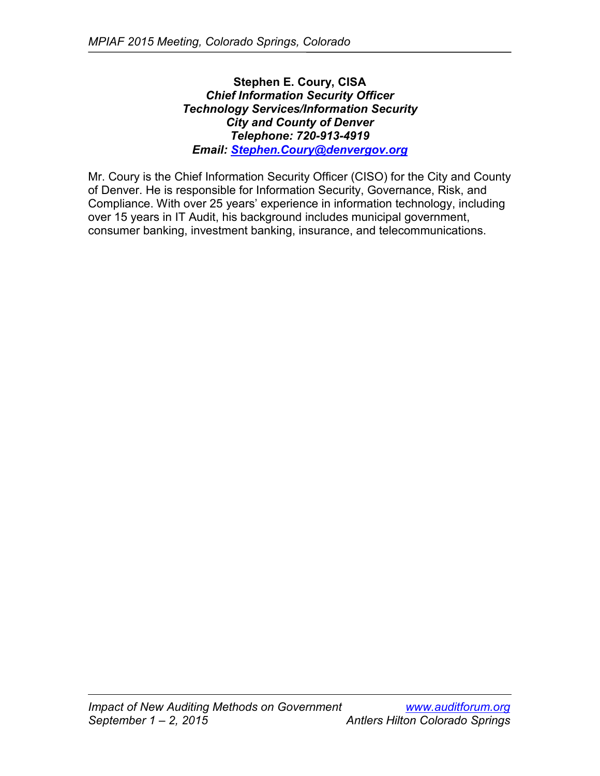# **Stephen E. Coury, CISA** *Chief Information Security Officer Technology Services/Information Security City and County of Denver Telephone: 720-913-4919 Email: [Stephen.Coury@denvergov.org](mailto:Stephen.Coury@denvergov.org)*

Mr. Coury is the Chief Information Security Officer (CISO) for the City and County of Denver. He is responsible for Information Security, Governance, Risk, and Compliance. With over 25 years' experience in information technology, including over 15 years in IT Audit, his background includes municipal government, consumer banking, investment banking, insurance, and telecommunications.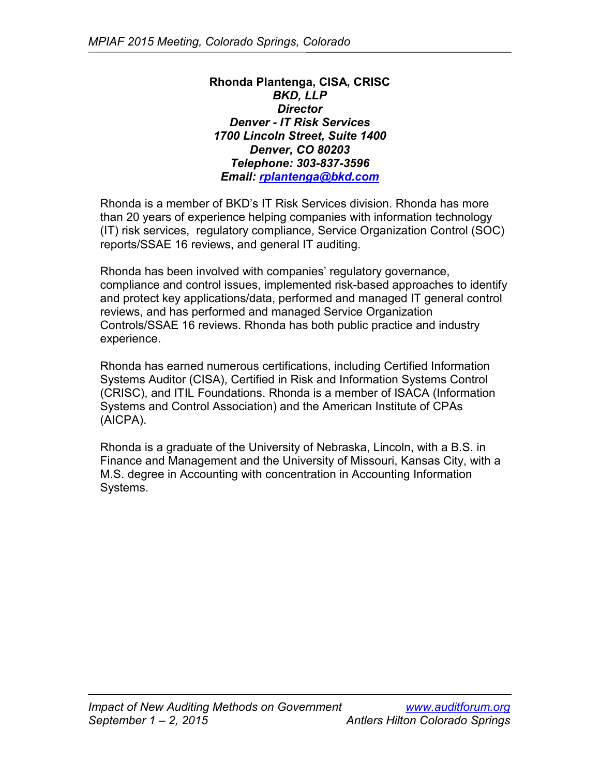**Rhonda Plantenga, CISA, CRISC** *BKD, LLP Director Denver - IT Risk Services 1700 Lincoln Street, Suite 1400 Denver, CO 80203 Telephone: 303-837-3596 Email: [rplantenga@bkd.com](mailto:rplantenga@bkd.com)*

Rhonda is a member of BKD's IT Risk Services division. Rhonda has more than 20 years of experience helping companies with information technology (IT) risk services, regulatory compliance, Service Organization Control (SOC) reports/SSAE 16 reviews, and general IT auditing.

Rhonda has been involved with companies' regulatory governance, compliance and control issues, implemented risk-based approaches to identify and protect key applications/data, performed and managed IT general control reviews, and has performed and managed Service Organization Controls/SSAE 16 reviews. Rhonda has both public practice and industry experience.

Rhonda has earned numerous certifications, including Certified Information Systems Auditor (CISA), Certified in Risk and Information Systems Control (CRISC), and ITIL Foundations. Rhonda is a member of ISACA (Information Systems and Control Association) and the American Institute of CPAs (AICPA).

Rhonda is a graduate of the University of Nebraska, Lincoln, with a B.S. in Finance and Management and the University of Missouri, Kansas City, with a M.S. degree in Accounting with concentration in Accounting Information Systems.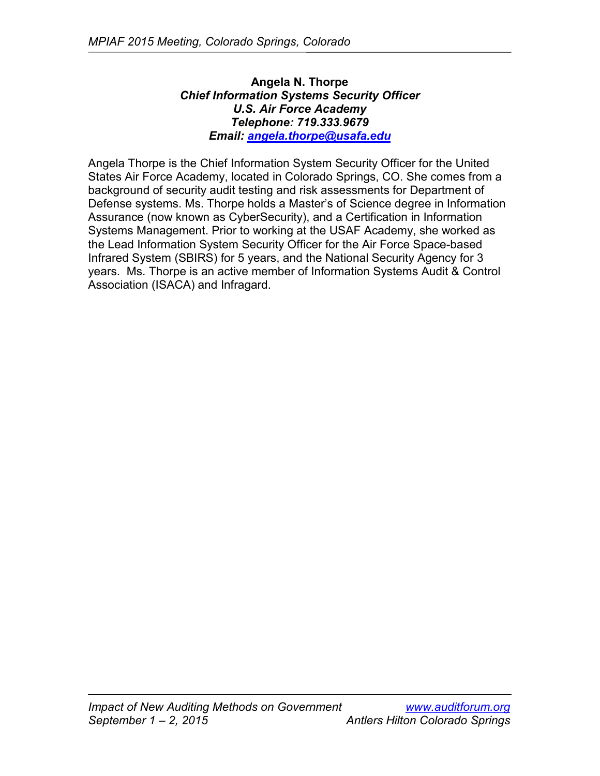# **Angela N. Thorpe** *Chief Information Systems Security Officer U.S. Air Force Academy Telephone: 719.333.9679 Email: [angela.thorpe@usafa.edu](mailto:angela.thorpe@usafa.edu)*

Angela Thorpe is the Chief Information System Security Officer for the United States Air Force Academy, located in Colorado Springs, CO. She comes from a background of security audit testing and risk assessments for Department of Defense systems. Ms. Thorpe holds a Master's of Science degree in Information Assurance (now known as CyberSecurity), and a Certification in Information Systems Management. Prior to working at the USAF Academy, she worked as the Lead Information System Security Officer for the Air Force Space-based Infrared System (SBIRS) for 5 years, and the National Security Agency for 3 years. Ms. Thorpe is an active member of Information Systems Audit & Control Association (ISACA) and Infragard.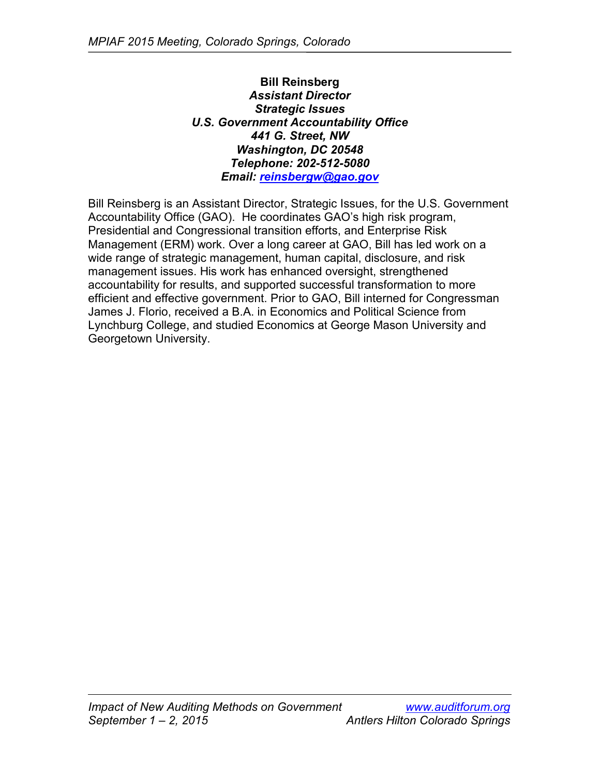**Bill Reinsberg** *Assistant Director Strategic Issues U.S. Government Accountability Office 441 G. Street, NW Washington, DC 20548 Telephone: 202-512-5080 Email: [reinsbergw@gao.gov](mailto:reinsbergw@gao.gov)*

Bill Reinsberg is an Assistant Director, Strategic Issues, for the U.S. Government Accountability Office (GAO). He coordinates GAO's high risk program, Presidential and Congressional transition efforts, and Enterprise Risk Management (ERM) work. Over a long career at GAO, Bill has led work on a wide range of strategic management, human capital, disclosure, and risk management issues. His work has enhanced oversight, strengthened accountability for results, and supported successful transformation to more efficient and effective government. Prior to GAO, Bill interned for Congressman James J. Florio, received a B.A. in Economics and Political Science from Lynchburg College, and studied Economics at George Mason University and Georgetown University.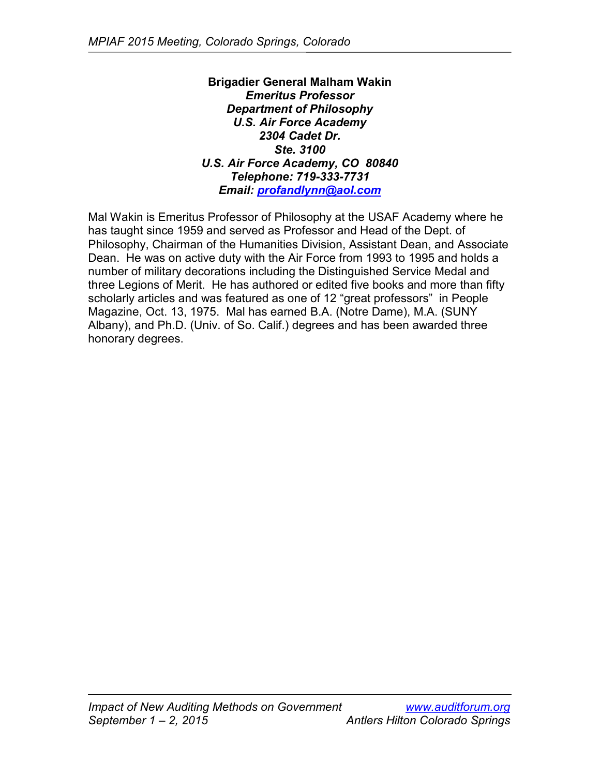**Brigadier General Malham Wakin** *Emeritus Professor Department of Philosophy U.S. Air Force Academy 2304 Cadet Dr. Ste. 3100 U.S. Air Force Academy, CO 80840 Telephone: 719-333-7731 Email: [profandlynn@aol.com](mailto:profandlynn@aol.com)*

Mal Wakin is Emeritus Professor of Philosophy at the USAF Academy where he has taught since 1959 and served as Professor and Head of the Dept. of Philosophy, Chairman of the Humanities Division, Assistant Dean, and Associate Dean. He was on active duty with the Air Force from 1993 to 1995 and holds a number of military decorations including the Distinguished Service Medal and three Legions of Merit. He has authored or edited five books and more than fifty scholarly articles and was featured as one of 12 "great professors" in People Magazine, Oct. 13, 1975. Mal has earned B.A. (Notre Dame), M.A. (SUNY Albany), and Ph.D. (Univ. of So. Calif.) degrees and has been awarded three honorary degrees.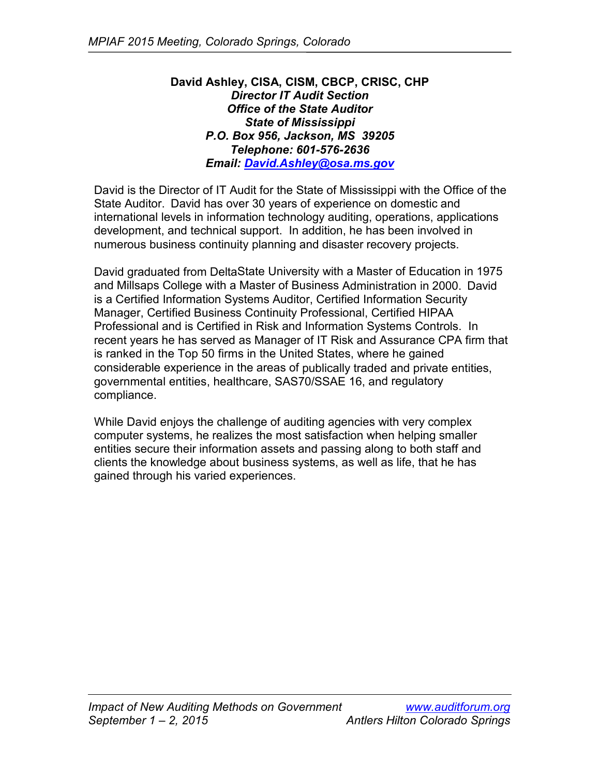### **David Ashley, CISA, CISM, CBCP, CRISC, CHP** *Director IT Audit Section Office of the State Auditor State of Mississippi P.O. Box 956, Jackson, MS 39205 Telephone: 601-576-2636 Email: [David.Ashley@osa.ms.gov](mailto:David.Ashley@osa.ms.gov)*

David is the Director of IT Audit for the State of Mississippi with the Office of the State Auditor. David has over 30 years of experience on domestic and international levels in information technology auditing, operations, applications development, and technical support. In addition, he has been involved in numerous business continuity planning and disaster recovery projects.

David graduated from DeltaState University with a Master of Education in 1975 and Millsaps College with a Master of Business Administration in 2000. David is a Certified Information Systems Auditor, Certified Information Security Manager, Certified Business Continuity Professional, Certified HIPAA Professional and is Certified in Risk and Information Systems Controls. In recent years he has served as Manager of IT Risk and Assurance CPA firm that is ranked in the Top 50 firms in the United States, where he gained considerable experience in the areas of publically traded and private entities, governmental entities, healthcare, SAS70/SSAE 16, and regulatory compliance.

While David enjoys the challenge of auditing agencies with very complex computer systems, he realizes the most satisfaction when helping smaller entities secure their information assets and passing along to both staff and clients the knowledge about business systems, as well as life, that he has gained through his varied experiences.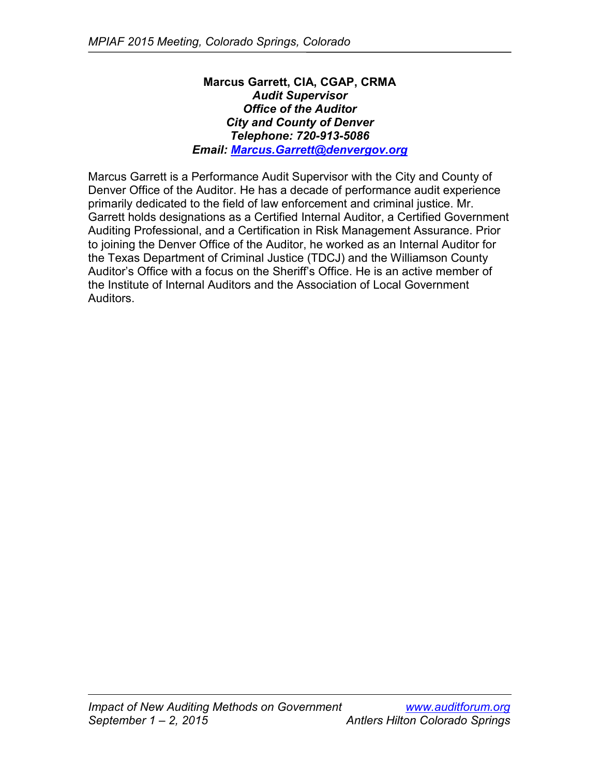### **Marcus Garrett, CIA, CGAP, CRMA** *Audit Supervisor Office of the Auditor City and County of Denver Telephone: 720-913-5086 Email: [Marcus.Garrett@denvergov.org](mailto:Marcus.Garrett@denvergov.org)*

Marcus Garrett is a Performance Audit Supervisor with the City and County of Denver Office of the Auditor. He has a decade of performance audit experience primarily dedicated to the field of law enforcement and criminal justice. Mr. Garrett holds designations as a Certified Internal Auditor, a Certified Government Auditing Professional, and a Certification in Risk Management Assurance. Prior to joining the Denver Office of the Auditor, he worked as an Internal Auditor for the Texas Department of Criminal Justice (TDCJ) and the Williamson County Auditor's Office with a focus on the Sheriff's Office. He is an active member of the Institute of Internal Auditors and the Association of Local Government Auditors.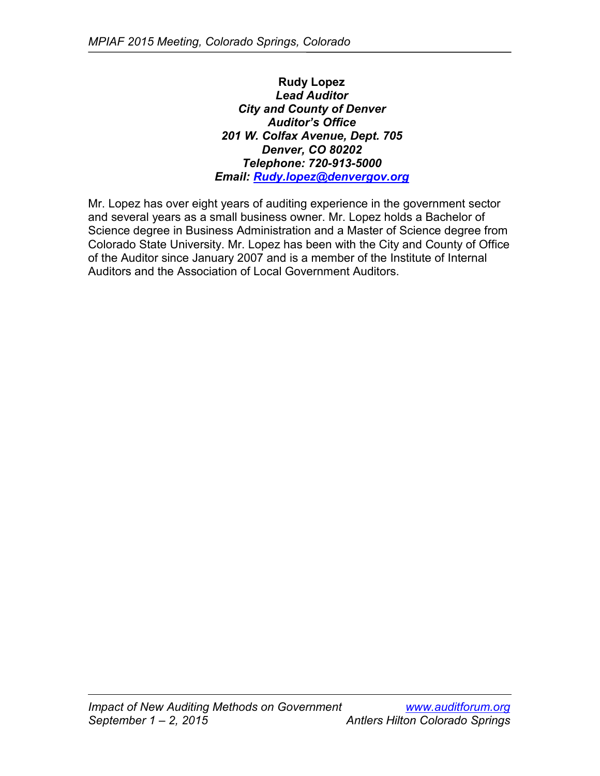**Rudy Lopez** *Lead Auditor City and County of Denver Auditor's Office 201 W. Colfax Avenue, Dept. 705 Denver, CO 80202 Telephone: 720-913-5000 Email: [Rudy.lopez@denvergov.org](mailto:Rudy.lopez@denvergov.org)*

Mr. Lopez has over eight years of auditing experience in the government sector and several years as a small business owner. Mr. Lopez holds a Bachelor of Science degree in Business Administration and a Master of Science degree from Colorado State University. Mr. Lopez has been with the City and County of Office of the Auditor since January 2007 and is a member of the Institute of Internal Auditors and the Association of Local Government Auditors.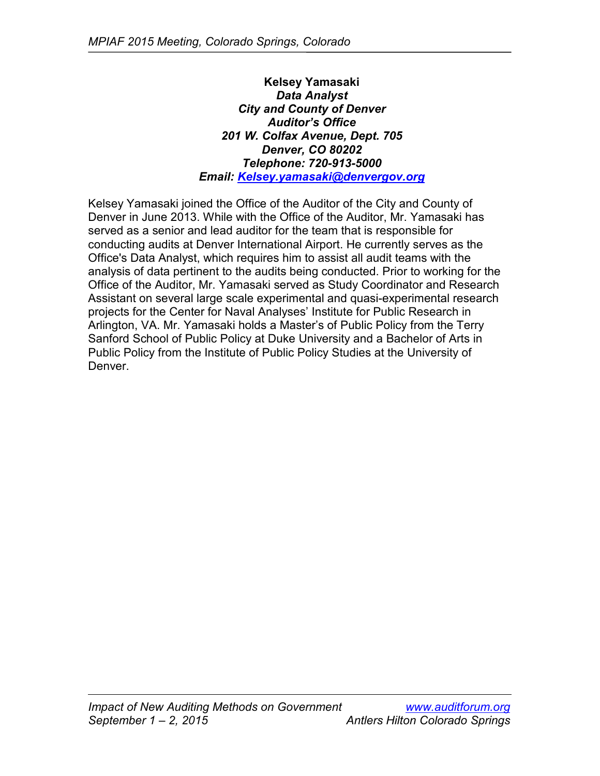**Kelsey Yamasaki** *Data Analyst City and County of Denver Auditor's Office 201 W. Colfax Avenue, Dept. 705 Denver, CO 80202 Telephone: 720-913-5000 Email: [Kelsey.yamasaki@denvergov.org](mailto:Kelsey.yamasaki@denvergov.org)*

Kelsey Yamasaki joined the Office of the Auditor of the City and County of Denver in June 2013. While with the Office of the Auditor, Mr. Yamasaki has served as a senior and lead auditor for the team that is responsible for conducting audits at Denver International Airport. He currently serves as the Office's Data Analyst, which requires him to assist all audit teams with the analysis of data pertinent to the audits being conducted. Prior to working for the Office of the Auditor, Mr. Yamasaki served as Study Coordinator and Research Assistant on several large scale experimental and quasi-experimental research projects for the Center for Naval Analyses' Institute for Public Research in Arlington, VA. Mr. Yamasaki holds a Master's of Public Policy from the Terry Sanford School of Public Policy at Duke University and a Bachelor of Arts in Public Policy from the Institute of Public Policy Studies at the University of Denver.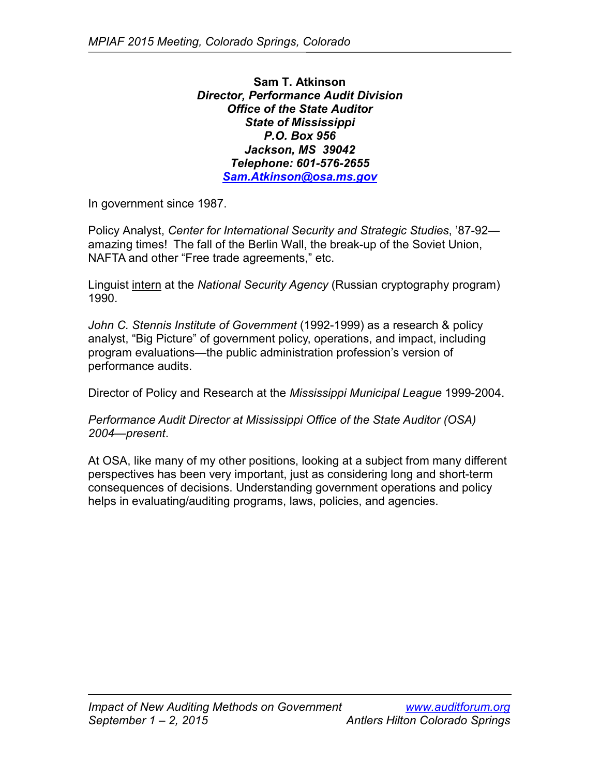**Sam T. Atkinson** *Director, Performance Audit Division Office of the State Auditor State of Mississippi P.O. Box 956 Jackson, MS 39042 Telephone: 601-576-2655 [Sam.Atkinson@osa.ms.gov](mailto:Sam.Atkinson@osa.ms.gov)*

In government since 1987.

Policy Analyst, *Center for International Security and Strategic Studies*, '87-92 amazing times! The fall of the Berlin Wall, the break-up of the Soviet Union, NAFTA and other "Free trade agreements," etc.

Linguist intern at the *National Security Agency* (Russian cryptography program) 1990.

*John C. Stennis Institute of Government* (1992-1999) as a research & policy analyst, "Big Picture" of government policy, operations, and impact, including program evaluations—the public administration profession's version of performance audits.

Director of Policy and Research at the *Mississippi Municipal League* 1999-2004.

*Performance Audit Director at Mississippi Office of the State Auditor (OSA) 2004—present*.

At OSA, like many of my other positions, looking at a subject from many different perspectives has been very important, just as considering long and short-term consequences of decisions. Understanding government operations and policy helps in evaluating/auditing programs, laws, policies, and agencies.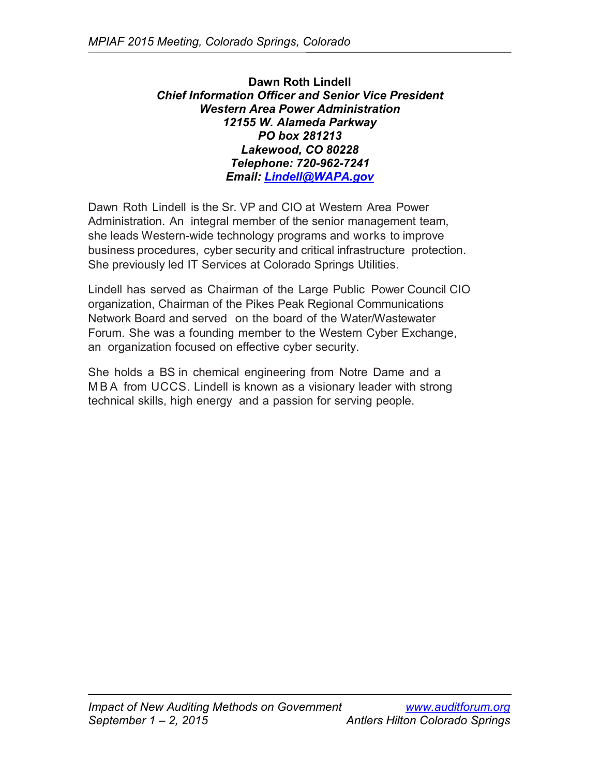**Dawn Roth Lindell** *Chief Information Officer and Senior Vice President Western Area Power Administration 12155 W. Alameda Parkway PO box 281213 Lakewood, CO 80228 Telephone: 720-962-7241 Email: [Lindell@WAPA.gov](mailto:Lindell@WAPA.gov)*

Dawn Roth Lindell is the Sr. VP and CIO at Western Area Power Administration. An integral member of the senior management team, she leads Western-wide technology programs and works to improve business procedures, cyber security and critical infrastructure protection. She previously led IT Services at Colorado Springs Utilities.

Lindell has served as Chairman of the Large Public Power Council CIO organization, Chairman of the Pikes Peak Regional Communications Network Board and served on the board of the Water/Wastewater Forum. She was a founding member to the Western Cyber Exchange, an organization focused on effective cyber security.

She holds a BS in chemical engineering from Notre Dame and a MBA from UCCS. Lindell is known as a visionary leader with strong technical skills, high energy and a passion for serving people.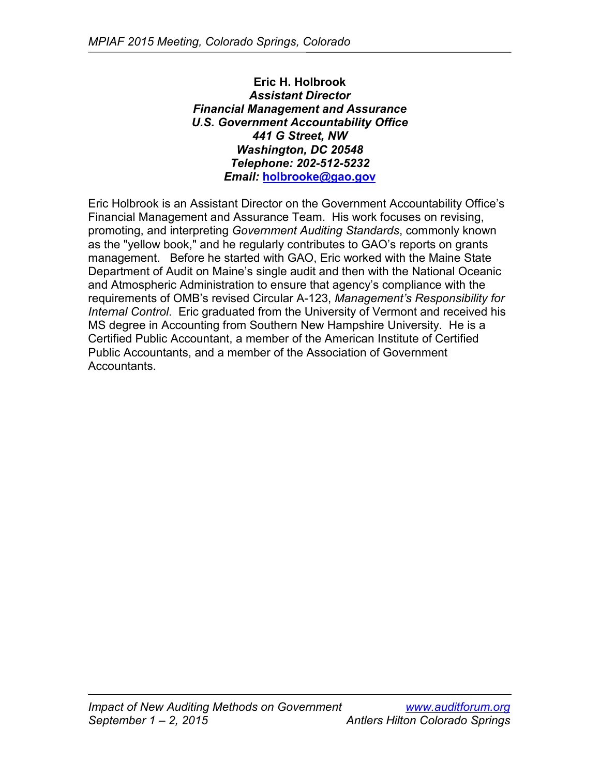**Eric H. Holbrook** *Assistant Director Financial Management and Assurance U.S. Government Accountability Office 441 G Street, NW Washington, DC 20548 Telephone: 202-512-5232 Email:* **[holbrooke@gao.gov](mailto:holbrooke@gao.gov)**

Eric Holbrook is an Assistant Director on the Government Accountability Office's Financial Management and Assurance Team. His work focuses on revising, promoting, and interpreting *Government Auditing Standards*, commonly known as the "yellow book," and he regularly contributes to GAO's reports on grants management. Before he started with GAO, Eric worked with the Maine State Department of Audit on Maine's single audit and then with the National Oceanic and Atmospheric Administration to ensure that agency's compliance with the requirements of OMB's revised Circular A-123, *Management's Responsibility for Internal Control*. Eric graduated from the University of Vermont and received his MS degree in Accounting from Southern New Hampshire University. He is a Certified Public Accountant, a member of the American Institute of Certified Public Accountants, and a member of the Association of Government Accountants.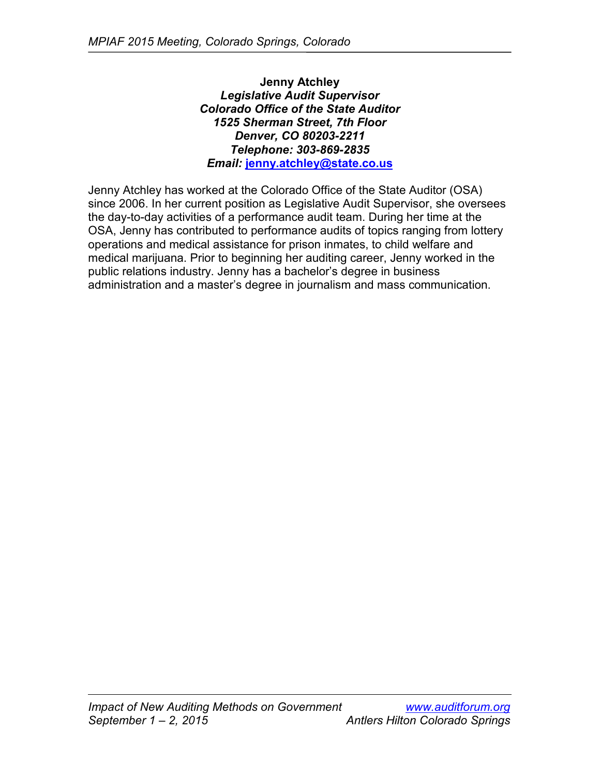**Jenny Atchley** *Legislative Audit Supervisor Colorado Office of the State Auditor 1525 Sherman Street, 7th Floor Denver, CO 80203-2211 Telephone: 303-869-2835 Email:* **[jenny.atchley@state.co.us](mailto:jenny.atchley@state.co.us)**

Jenny Atchley has worked at the Colorado Office of the State Auditor (OSA) since 2006. In her current position as Legislative Audit Supervisor, she oversees the day-to-day activities of a performance audit team. During her time at the OSA, Jenny has contributed to performance audits of topics ranging from lottery operations and medical assistance for prison inmates, to child welfare and medical marijuana. Prior to beginning her auditing career, Jenny worked in the public relations industry. Jenny has a bachelor's degree in business administration and a master's degree in journalism and mass communication.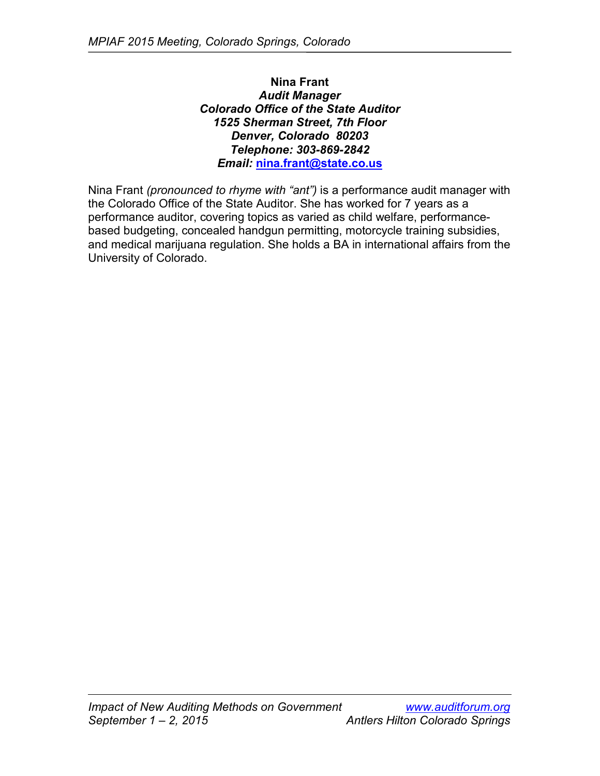**Nina Frant** *Audit Manager Colorado Office of the State Auditor 1525 Sherman Street, 7th Floor Denver, Colorado 80203 Telephone: 303-869-2842 Email:* **[nina.frant@state.co.us](mailto:nina.frant@state.co.us)**

Nina Frant *(pronounced to rhyme with "ant")* is a performance audit manager with the Colorado Office of the State Auditor. She has worked for 7 years as a performance auditor, covering topics as varied as child welfare, performancebased budgeting, concealed handgun permitting, motorcycle training subsidies, and medical marijuana regulation. She holds a BA in international affairs from the University of Colorado.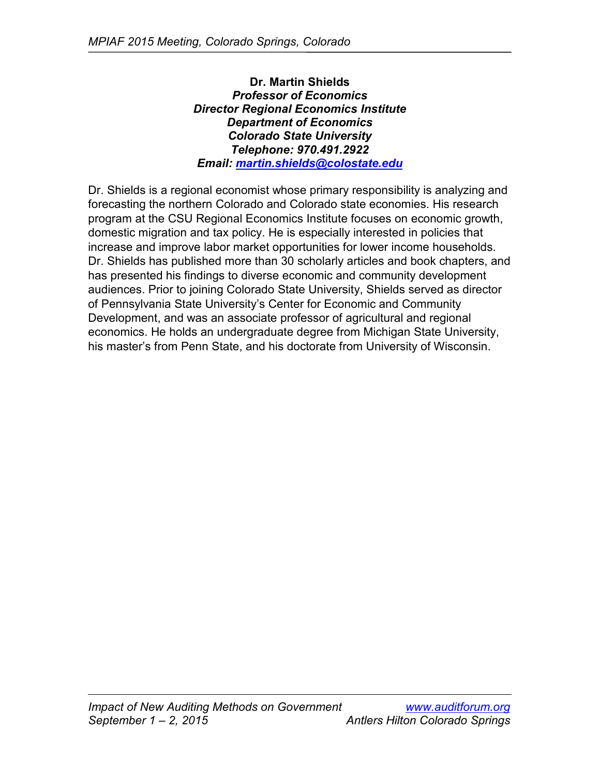**Dr. Martin Shields** *Professor of Economics Director Regional Economics Institute Department of Economics Colorado State University Telephone: 970.491.2922 Email: [martin.shields@colostate.edu](mailto:martin.shields@colostate.edu)*

Dr. Shields is a regional economist whose primary responsibility is analyzing and forecasting the northern Colorado and Colorado state economies. His research program at the CSU Regional Economics Institute focuses on economic growth, domestic migration and tax policy. He is especially interested in policies that increase and improve labor market opportunities for lower income households. Dr. Shields has published more than 30 scholarly articles and book chapters, and has presented his findings to diverse economic and community development audiences. Prior to joining Colorado State University, Shields served as director of Pennsylvania State University's Center for Economic and Community Development, and was an associate professor of agricultural and regional economics. He holds an undergraduate degree from Michigan State University, his master's from Penn State, and his doctorate from University of Wisconsin.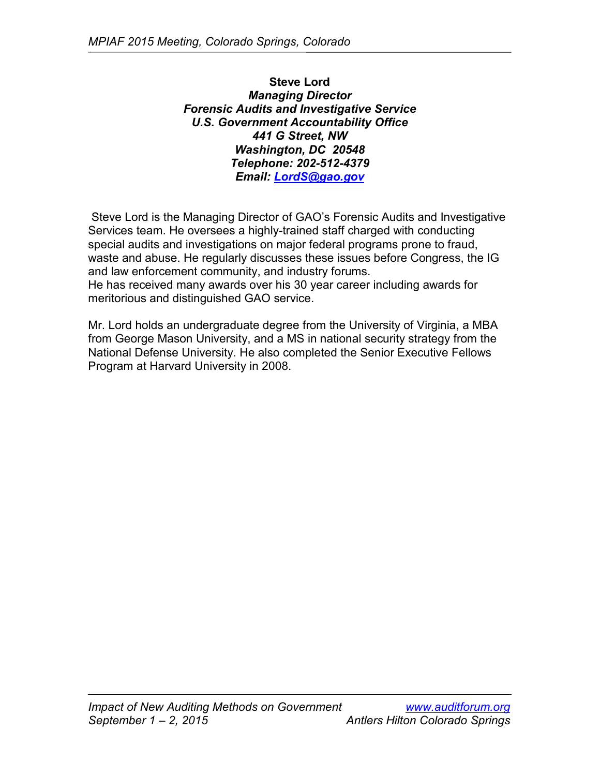**Steve Lord** *Managing Director Forensic Audits and Investigative Service U.S. Government Accountability Office 441 G Street, NW Washington, DC 20548 Telephone: 202-512-4379 Email: [LordS@gao.gov](mailto:LordS@gao.gov)*

Steve Lord is the Managing Director of GAO's Forensic Audits and Investigative Services team. He oversees a highly-trained staff charged with conducting special audits and investigations on major federal programs prone to fraud, waste and abuse. He regularly discusses these issues before Congress, the IG and law enforcement community, and industry forums. He has received many awards over his 30 year career including awards for meritorious and distinguished GAO service.

Mr. Lord holds an undergraduate degree from the University of Virginia, a MBA from George Mason University, and a MS in national security strategy from the National Defense University. He also completed the Senior Executive Fellows Program at Harvard University in 2008.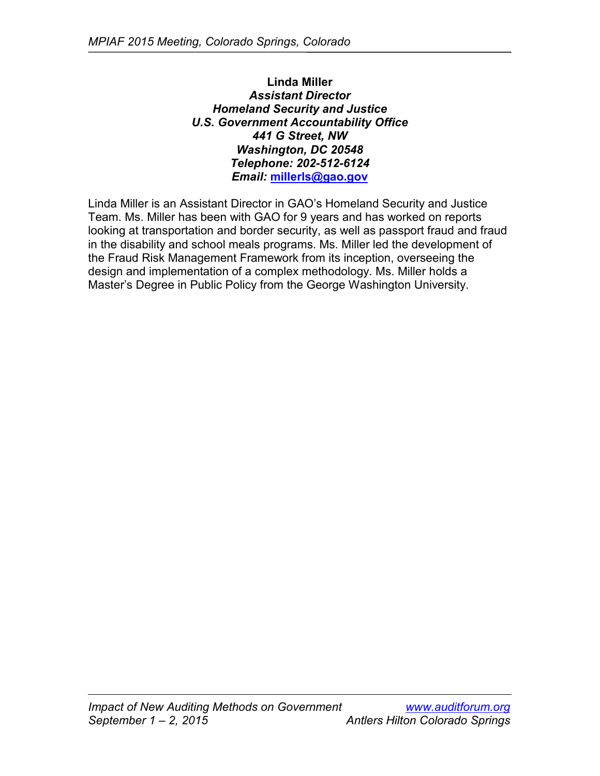**Linda Miller** *Assistant Director Homeland Security and Justice U.S. Government Accountability Office 441 G Street, NW Washington, DC 20548 Telephone: 202-512-6124 Email:* **[millerls@gao.gov](mailto:millerls@gao.gov)**

Linda Miller is an Assistant Director in GAO's Homeland Security and Justice Team. Ms. Miller has been with GAO for 9 years and has worked on reports looking at transportation and border security, as well as passport fraud and fraud in the disability and school meals programs. Ms. Miller led the development of the Fraud Risk Management Framework from its inception, overseeing the design and implementation of a complex methodology. Ms. Miller holds a Master's Degree in Public Policy from the George Washington University.